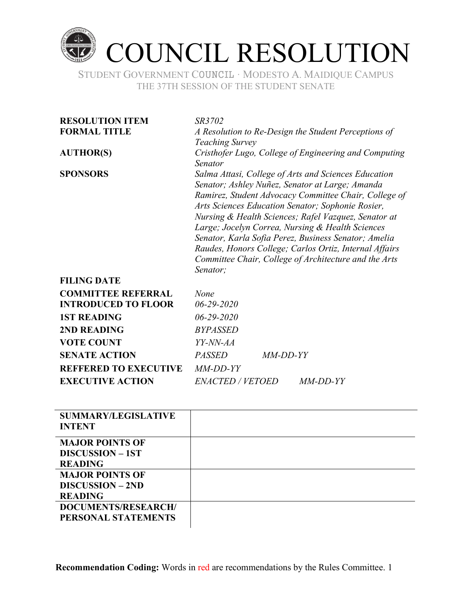

STUDENT GOVERNMENT COUNCIL ∙ MODESTO A. MAIDIQUE CAMPUS THE 37TH SESSION OF THE STUDENT SENATE

| <b>RESOLUTION ITEM</b>     | <i>SR3702</i>                                                                                                                                                                                                                                                                                                                                                                                                                                                                                                            |  |  |
|----------------------------|--------------------------------------------------------------------------------------------------------------------------------------------------------------------------------------------------------------------------------------------------------------------------------------------------------------------------------------------------------------------------------------------------------------------------------------------------------------------------------------------------------------------------|--|--|
| <b>FORMAL TITLE</b>        | A Resolution to Re-Design the Student Perceptions of<br><b>Teaching Survey</b>                                                                                                                                                                                                                                                                                                                                                                                                                                           |  |  |
| <b>AUTHOR(S)</b>           | Cristhofer Lugo, College of Engineering and Computing<br>Senator                                                                                                                                                                                                                                                                                                                                                                                                                                                         |  |  |
| <b>SPONSORS</b>            | Salma Attasi, College of Arts and Sciences Education<br>Senator; Ashley Nuñez, Senator at Large; Amanda<br>Ramirez, Student Advocacy Committee Chair, College of<br>Arts Sciences Education Senator; Sophonie Rosier,<br>Nursing & Health Sciences; Rafel Vazquez, Senator at<br>Large; Jocelyn Correa, Nursing & Health Sciences<br>Senator, Karla Sofia Perez, Business Senator; Amelia<br>Raudes, Honors College; Carlos Ortiz, Internal Affairs<br>Committee Chair, College of Architecture and the Arts<br>Senator; |  |  |
| <b>FILING DATE</b>         |                                                                                                                                                                                                                                                                                                                                                                                                                                                                                                                          |  |  |
| <b>COMMITTEE REFERRAL</b>  | None                                                                                                                                                                                                                                                                                                                                                                                                                                                                                                                     |  |  |
| <b>INTRODUCED TO FLOOR</b> | $06 - 29 - 2020$                                                                                                                                                                                                                                                                                                                                                                                                                                                                                                         |  |  |
| <b>1ST READING</b>         | $06 - 29 - 2020$                                                                                                                                                                                                                                                                                                                                                                                                                                                                                                         |  |  |
| 2ND READING                | <b>BYPASSED</b>                                                                                                                                                                                                                                                                                                                                                                                                                                                                                                          |  |  |
| <b>VOTE COUNT</b>          | YY-NN-AA                                                                                                                                                                                                                                                                                                                                                                                                                                                                                                                 |  |  |
| <b>SENATE ACTION</b>       | PASSED<br>MM-DD-YY                                                                                                                                                                                                                                                                                                                                                                                                                                                                                                       |  |  |

| -                            | .                       |            |            |
|------------------------------|-------------------------|------------|------------|
| <b>VOTE COUNT</b>            | YY-NN-AA                |            |            |
| <b>SENATE ACTION</b>         | <i>PASSED</i>           | $MM-DD-YY$ |            |
| <b>REFFERED TO EXECUTIVE</b> | $MM-DD-YY$              |            |            |
| <b>EXECUTIVE ACTION</b>      | <i>ENACTED / VETOED</i> |            | $MM-DD-YY$ |
|                              |                         |            |            |

| <b>SUMMARY/LEGISLATIVE</b> |  |
|----------------------------|--|
| <b>INTENT</b>              |  |
|                            |  |
| <b>MAJOR POINTS OF</b>     |  |
| <b>DISCUSSION – 1ST</b>    |  |
| <b>READING</b>             |  |
| <b>MAJOR POINTS OF</b>     |  |
| <b>DISCUSSION – 2ND</b>    |  |
| <b>READING</b>             |  |
| <b>DOCUMENTS/RESEARCH/</b> |  |
| PERSONAL STATEMENTS        |  |
|                            |  |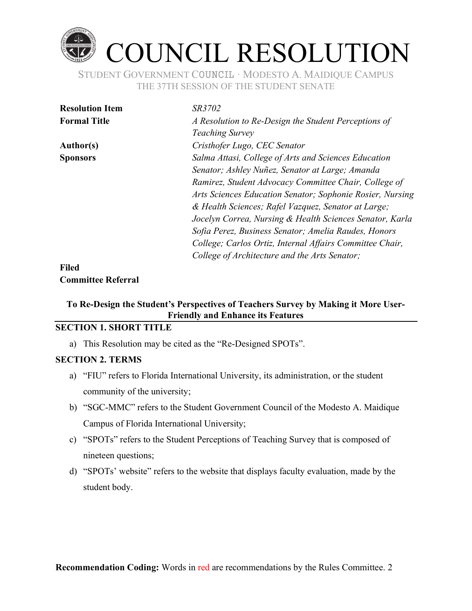

STUDENT GOVERNMENT COUNCIL ∙ MODESTO A. MAIDIQUE CAMPUS THE 37TH SESSION OF THE STUDENT SENATE

| <b>Resolution Item</b> | SR3702                                                    |
|------------------------|-----------------------------------------------------------|
| <b>Formal Title</b>    | A Resolution to Re-Design the Student Perceptions of      |
|                        | <b>Teaching Survey</b>                                    |
| <b>Author(s)</b>       | Cristhofer Lugo, CEC Senator                              |
| <b>Sponsors</b>        | Salma Attasi, College of Arts and Sciences Education      |
|                        | Senator; Ashley Nuñez, Senator at Large; Amanda           |
|                        | Ramirez, Student Advocacy Committee Chair, College of     |
|                        | Arts Sciences Education Senator; Sophonie Rosier, Nursing |
|                        | & Health Sciences; Rafel Vazquez, Senator at Large;       |
|                        | Jocelyn Correa, Nursing & Health Sciences Senator, Karla  |
|                        | Sofia Perez, Business Senator; Amelia Raudes, Honors      |
|                        | College; Carlos Ortiz, Internal Affairs Committee Chair,  |
|                        | College of Architecture and the Arts Senator;             |
| <b>Filed</b>           |                                                           |

# **Committee Referral**

# To Re-Design the Student's Perspectives of Teachers Survey by Making it More User-**Friendly and Enhance its Features**

## **SECTION 1. SHORT TITLE**

a) This Resolution may be cited as the "Re-Designed SPOTs".

#### **SECTION 2. TERMS**

- a) "FIU" refers to Florida International University, its administration, or the student community of the university;
- b) "SGC-MMC" refers to the Student Government Council of the Modesto A. Maidique Campus of Florida International University;
- c) "SPOTs" refers to the Student Perceptions of Teaching Survey that is composed of nineteen questions;
- d) "SPOTs' website" refers to the website that displays faculty evaluation, made by the student body.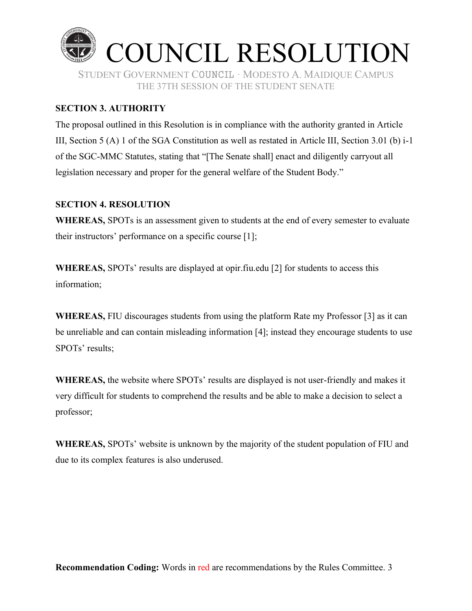

### **SECTION 3. AUTHORITY**

The proposal outlined in this Resolution is in compliance with the authority granted in Article III, Section 5 (A) 1 of the SGA Constitution as well as restated in Article III, Section 3.01 (b) i-1 of the SGC-MMC Statutes, stating that "[The Senate shall] enact and diligently carryout all legislation necessary and proper for the general welfare of the Student Body."

#### **SECTION 4. RESOLUTION**

**WHEREAS,** SPOTs is an assessment given to students at the end of every semester to evaluate their instructors' performance on a specific course  $[1]$ ;

**WHEREAS, SPOTs'** results are displayed at opir.fiu.edu [2] for students to access this information;

**WHEREAS,** FIU discourages students from using the platform Rate my Professor [3] as it can be unreliable and can contain misleading information [4]; instead they encourage students to use SPOTs' results;

**WHEREAS,** the website where SPOTs' results are displayed is not user-friendly and makes it very difficult for students to comprehend the results and be able to make a decision to select a professor;

**WHEREAS, SPOTs'** website is unknown by the majority of the student population of FIU and due to its complex features is also underused.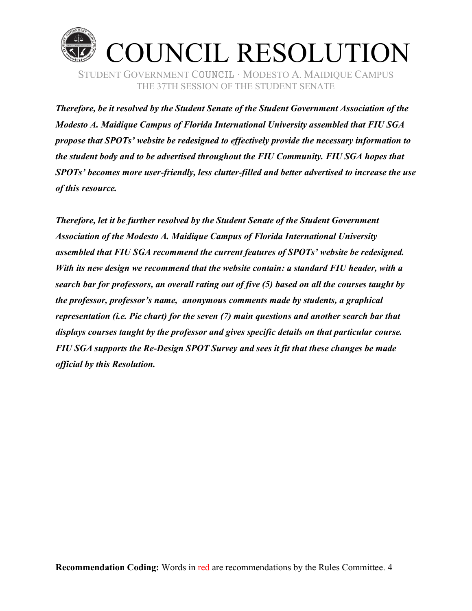

*Therefore, be it resolved by the Student Senate of the Student Government Association of the Modesto A. Maidique Campus of Florida International University assembled that FIU SGA propose that SPOTs'* website be redesigned to effectively provide the necessary information to *the student body and to be advertised throughout the FIU Community. FIU SGA hopes that SPOTs¶ becomes more user-friendly, less clutter-filled and better advertised to increase the use of this resource.*

*Therefore, let it be further resolved by the Student Senate of the Student Government Association of the Modesto A. Maidique Campus of Florida International University assembled that FIU SGA recommend the current features of SPOTs' website be redesigned. With its new design we recommend that the website contain: a standard FIU header, with a search bar for professors, an overall rating out of five (5) based on all the courses taught by the professor, professor's name, anonymous comments made by students, a graphical representation (i.e. Pie chart) for the seven (7) main questions and another search bar that displays courses taught by the professor and gives specific details on that particular course. FIU SGA supports the Re-Design SPOT Survey and sees it fit that these changes be made official by this Resolution.*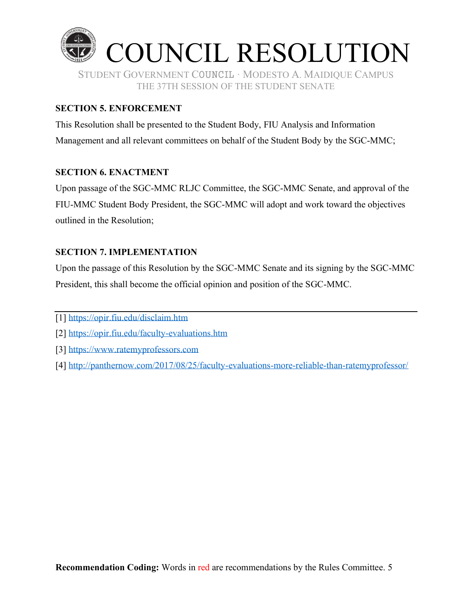

## **SECTION 5. ENFORCEMENT**

This Resolution shall be presented to the Student Body, FIU Analysis and Information Management and all relevant committees on behalf of the Student Body by the SGC-MMC;

#### **SECTION 6. ENACTMENT**

Upon passage of the SGC-MMC RLJC Committee, the SGC-MMC Senate, and approval of the FIU-MMC Student Body President, the SGC-MMC will adopt and work toward the objectives outlined in the Resolution;

#### **SECTION 7. IMPLEMENTATION**

Upon the passage of this Resolution by the SGC-MMC Senate and its signing by the SGC-MMC President, this shall become the official opinion and position of the SGC-MMC.

- [1] https://opir.fiu.edu/disclaim.htm
- [2] https://opir.fiu.edu/faculty-evaluations.htm
- [3] https://www.ratemyprofessors.com
- [4] http://panthernow.com/2017/08/25/faculty-evaluations-more-reliable-than-ratemyprofessor/